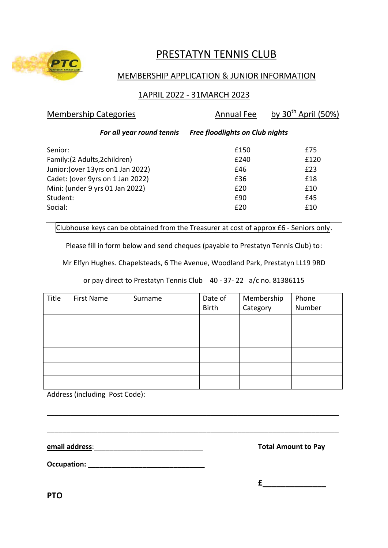

# PRESTATYN TENNIS CLUB

# MEMBERSHIP APPLICATION & JUNIOR INFORMATION

# 1APRIL 2022 - 31MARCH 2023

| <b>Membership Categories</b>       | <b>Annual Fee</b>                      | by $30^{th}$ April (50%) |
|------------------------------------|----------------------------------------|--------------------------|
| For all year round tennis          | <b>Free floodlights on Club nights</b> |                          |
| Senior:                            | £150                                   | £75                      |
| Family: (2 Adults, 2children)      | £240                                   | £120                     |
| Junior: (over 13yrs on 1 Jan 2022) | £46                                    | £23                      |
| Cadet: (over 9yrs on 1 Jan 2022)   | £36                                    | £18                      |
| Mini: (under 9 yrs 01 Jan 2022)    | £20                                    | £10                      |
| Student:                           | £90                                    | £45                      |
| Social:                            | £20                                    | £10                      |

Clubhouse keys can be obtained from the Treasurer at cost of approx £6 - Seniors only.

Please fill in form below and send cheques (payable to Prestatyn Tennis Club) to:

Mr Elfyn Hughes. Chapelsteads, 6 The Avenue, Woodland Park, Prestatyn LL19 9RD

or pay direct to Prestatyn Tennis Club 40 - 37- 22 a/c no. 81386115

| Title | <b>First Name</b> | Surname | Date of<br><b>Birth</b> | Membership<br>Category | Phone<br>Number |
|-------|-------------------|---------|-------------------------|------------------------|-----------------|
|       |                   |         |                         |                        |                 |
|       |                   |         |                         |                        |                 |
|       |                   |         |                         |                        |                 |
|       |                   |         |                         |                        |                 |
|       |                   |         |                         |                        |                 |

\_\_\_\_\_\_\_\_\_\_\_\_\_\_\_\_\_\_\_\_\_\_\_\_\_\_\_\_\_\_\_\_\_\_\_\_\_\_\_\_\_\_\_\_\_\_\_\_\_\_\_\_\_\_\_\_\_\_\_\_\_\_\_\_\_\_\_\_\_\_\_\_\_\_\_

\_\_\_\_\_\_\_\_\_\_\_\_\_\_\_\_\_\_\_\_\_\_\_\_\_\_\_\_\_\_\_\_\_\_\_\_\_\_\_\_\_\_\_\_\_\_\_\_\_\_\_\_\_\_\_\_\_\_\_\_\_\_\_\_\_\_\_\_\_\_\_\_\_\_\_

Address (including Post Code):

**email address**:\_\_\_\_\_\_\_\_\_\_\_\_\_\_\_\_\_\_\_\_\_\_\_\_\_\_\_\_ **Total Amount to Pay**

**Occupation: \_\_\_\_\_\_\_\_\_\_\_\_\_\_\_\_\_\_\_\_\_\_\_\_\_\_\_\_\_\_**

**£\_\_\_\_\_\_\_\_\_\_\_\_\_\_**

**PTO**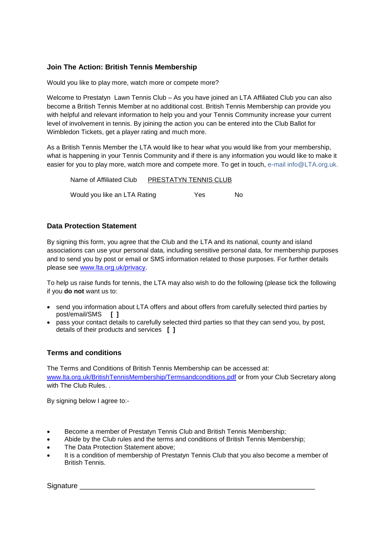# **Join The Action: British Tennis Membership**

Would you like to play more, watch more or compete more?

Welcome to Prestatyn Lawn Tennis Club – As you have joined an LTA Affiliated Club you can also become a British Tennis Member at no additional cost. British Tennis Membership can provide you with helpful and relevant information to help you and your Tennis Community increase your current level of involvement in tennis. By joining the action you can be entered into the Club Ballot for Wimbledon Tickets, get a player rating and much more.

As a British Tennis Member the LTA would like to hear what you would like from your membership, what is happening in your Tennis Community and if there is any information you would like to make it easier for you to play more, watch more and compete more. To get in touch, e-mail info@LTA.org.uk.

Name of Affiliated Club PRESTATYN TENNIS CLUB Would you like an LTA Rating The Yes No

# **Data Protection Statement**

By signing this form, you agree that the Club and the LTA and its national, county and island associations can use your personal data, including sensitive personal data, for membership purposes and to send you by post or email or SMS information related to those purposes. For further details please see [www.lta.org.uk/privacy.](http://www.lta.org.uk/privacy)

To help us raise funds for tennis, the LTA may also wish to do the following (please tick the following if you **do not** want us to:

- send you information about LTA offers and about offers from carefully selected third parties by post/email/SMS **[ ]**
- pass your contact details to carefully selected third parties so that they can send you, by post, details of their products and services **[ ]**

# **Terms and conditions**

The Terms and Conditions of British Tennis Membership can be accessed at: [www.lta.org.uk/BritishTennisMembership/Termsandconditions.pdf](http://www.lta.org.uk/BritishTennisMembership/Termsandconditions.pdf) or from your Club Secretary along with The Club Rules...

By signing below I agree to:-

- Become a member of Prestatyn Tennis Club and British Tennis Membership;
- Abide by the Club rules and the terms and conditions of British Tennis Membership;
- The Data Protection Statement above;
- It is a condition of membership of Prestatyn Tennis Club that you also become a member of British Tennis.

Signature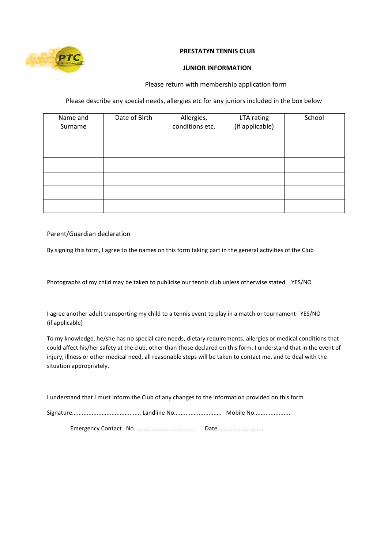

#### **PRESTATYN TENNIS CLUB**

#### **JUNIOR INFORMATION**

#### Please return with membership application form

### Please describe any special needs, allergies etc for any juniors included in the box below

| Name and<br>Surname | Date of Birth | Allergies,<br>conditions etc. | LTA rating<br>(if applicable) | School |
|---------------------|---------------|-------------------------------|-------------------------------|--------|
|                     |               |                               |                               |        |
|                     |               |                               |                               |        |
|                     |               |                               |                               |        |
|                     |               |                               |                               |        |
|                     |               |                               |                               |        |
|                     |               |                               |                               |        |

#### Parent/Guardian declaration

By signing this form, I agree to the names on this form taking part in the general activities of the Club

Photographs of my child may be taken to publicise our tennis club unless otherwise stated YES/NO

I agree another adult transporting my child to a tennis event to play in a match or tournament YES/NO (if applicable)

To my knowledge, he/she has no special care needs, dietary requirements, allergies or medical conditions that could affect his/her safety at the club, other than those declared on this form. I understand that in the event of injury, illness or other medical need, all reasonable steps will be taken to contact me, and to deal with the situation appropriately.

I understand that I must inform the Club of any changes to the information provided on this form

Emergency Contact No..................................... Date.............................